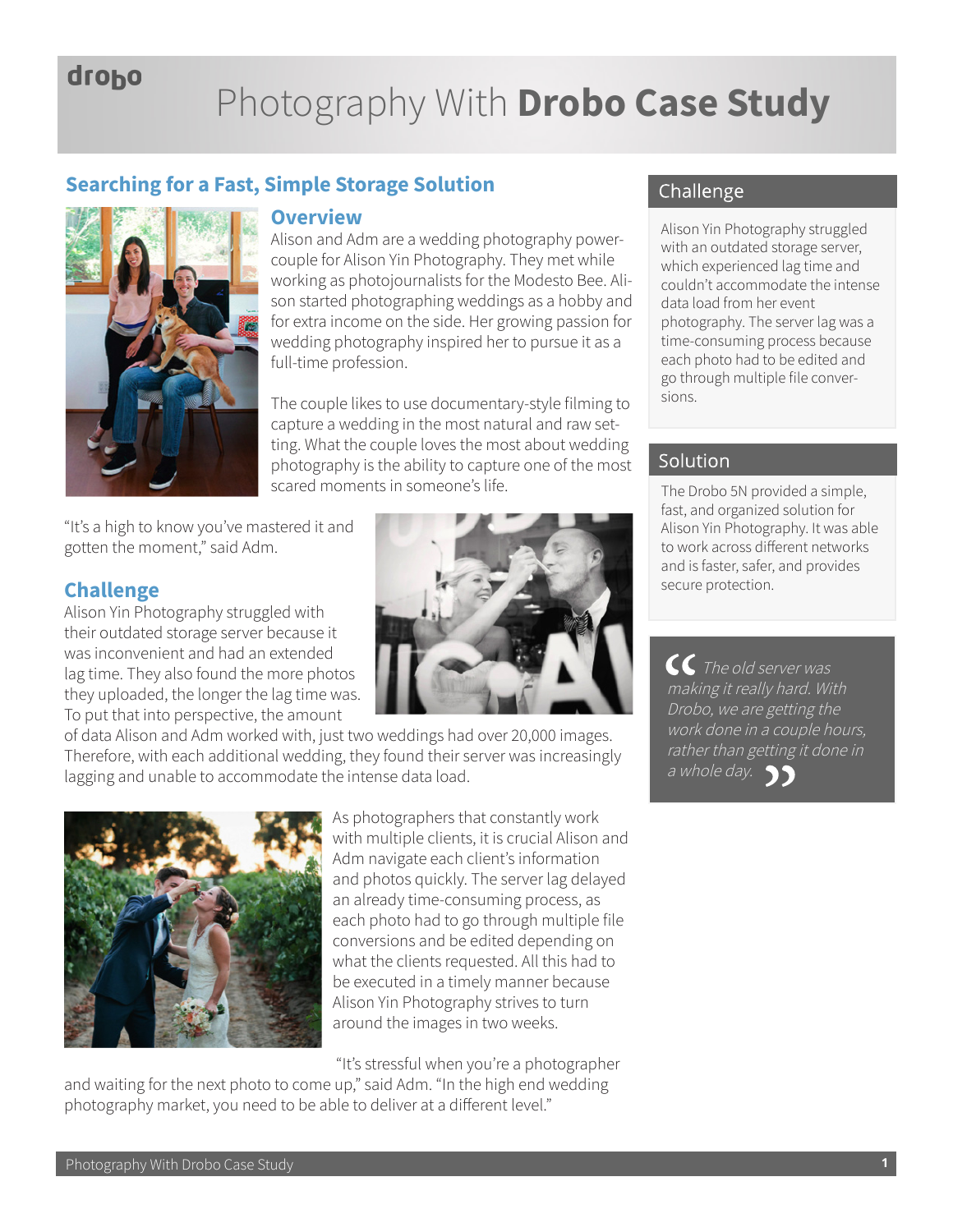# droho

# Photography With **Drobo Case Study**

### **Searching for a Fast, Simple Storage Solution**



#### **Overview**

Alison and Adm are a wedding photography powercouple for Alison Yin Photography. They met while working as photojournalists for the Modesto Bee. Alison started photographing weddings as a hobby and for extra income on the side. Her growing passion for wedding photography inspired her to pursue it as a full-time profession.

The couple likes to use documentary-style filming to capture a wedding in the most natural and raw setting. What the couple loves the most about wedding photography is the ability to capture one of the most scared moments in someone's life.

"It's a high to know you've mastered it and gotten the moment," said Adm.

#### **Challenge**

Alison Yin Photography struggled with their outdated storage server because it was inconvenient and had an extended lag time. They also found the more photos they uploaded, the longer the lag time was. To put that into perspective, the amount



of data Alison and Adm worked with, just two weddings had over 20,000 images. Therefore, with each additional wedding, they found their server was increasingly lagging and unable to accommodate the intense data load.



As photographers that constantly work with multiple clients, it is crucial Alison and Adm navigate each client's information and photos quickly. The server lag delayed an already time-consuming process, as each photo had to go through multiple file conversions and be edited depending on what the clients requested. All this had to be executed in a timely manner because Alison Yin Photography strives to turn around the images in two weeks.

"It's stressful when you're a photographer

and waiting for the next photo to come up," said Adm. "In the high end wedding photography market, you need to be able to deliver at a different level."

## Challenge

Alison Yin Photography struggled with an outdated storage server, which experienced lag time and couldn't accommodate the intense data load from her event photography. The server lag was a time-consuming process because each photo had to be edited and go through multiple file conversions.

#### Solution

The Drobo 5N provided a simple, fast, and organized solution for Alison Yin Photography. It was able to work across different networks and is faster, safer, and provides secure protection.

 $\overline{\mathcal{C}}$  The old server was making it really hard. With Drobo, we are getting the work done in a couple hours, rather than getting it done in a whole day.  $\sqrt{3}$